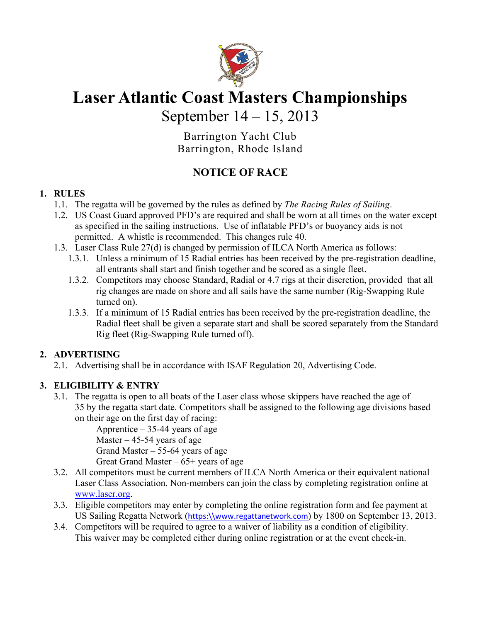

# **Laser Atlantic Coast Masters Championships**

September 14 – 15, 2013

Barrington Yacht Club Barrington, Rhode Island

# **NOTICE OF RACE**

#### **1. RULES**

- 1.1. The regatta will be governed by the rules as defined by *The Racing Rules of Sailing*.
- 1.2. US Coast Guard approved PFD's are required and shall be worn at all times on the water except as specified in the sailing instructions. Use of inflatable PFD's or buoyancy aids is not permitted. A whistle is recommended. This changes rule 40.
- 1.3. Laser Class Rule 27(d) is changed by permission of ILCA North America as follows:
	- 1.3.1. Unless a minimum of 15 Radial entries has been received by the pre-registration deadline, all entrants shall start and finish together and be scored as a single fleet.
	- 1.3.2. Competitors may choose Standard, Radial or 4.7 rigs at their discretion, provided that all rig changes are made on shore and all sails have the same number (Rig-Swapping Rule turned on).
	- 1.3.3. If a minimum of 15 Radial entries has been received by the pre-registration deadline, the Radial fleet shall be given a separate start and shall be scored separately from the Standard Rig fleet (Rig-Swapping Rule turned off).

#### **2. ADVERTISING**

2.1. Advertising shall be in accordance with ISAF Regulation 20, Advertising Code.

#### **3. ELIGIBILITY & ENTRY**

3.1. The regatta is open to all boats of the Laser class whose skippers have reached the age of 35 by the regatta start date. Competitors shall be assigned to the following age divisions based on their age on the first day of racing:

Apprentice  $-35-44$  years of age Master  $-45-54$  years of age Grand Master – 55-64 years of age Great Grand Master  $-65+$  years of age

- 3.2. All competitors must be current members of ILCA North America or their equivalent national Laser Class Association. Non-members can join the class by completing registration online at www.laser.org.
- 3.3. Eligible competitors may enter by completing the online registration form and fee payment at US Sailing Regatta Network (https:\\www.regattanetwork.com) by 1800 on September 13, 2013.
- 3.4. Competitors will be required to agree to a waiver of liability as a condition of eligibility. This waiver may be completed either during online registration or at the event check-in.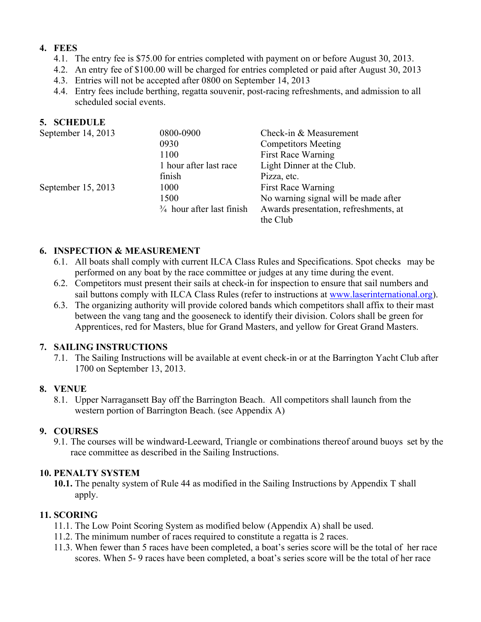#### **4. FEES**

- 4.1. The entry fee is \$75.00 for entries completed with payment on or before August 30, 2013.
- 4.2. An entry fee of \$100.00 will be charged for entries completed or paid after August 30, 2013
- 4.3. Entries will not be accepted after 0800 on September 14, 2013
- 4.4. Entry fees include berthing, regatta souvenir, post-racing refreshments, and admission to all scheduled social events.

#### **5. SCHEDULE**

| September 14, 2013   | 0800-0900                            | Check-in & Measurement                |
|----------------------|--------------------------------------|---------------------------------------|
|                      | 0930                                 | <b>Competitors Meeting</b>            |
|                      | 1100                                 | <b>First Race Warning</b>             |
|                      | 1 hour after last race               | Light Dinner at the Club.             |
|                      | finish                               | Pizza, etc.                           |
| September $15, 2013$ | 1000                                 | <b>First Race Warning</b>             |
|                      | 1500                                 | No warning signal will be made after  |
|                      | $\frac{3}{4}$ hour after last finish | Awards presentation, refreshments, at |
|                      |                                      | the Club                              |

#### **6. INSPECTION & MEASUREMENT**

- 6.1. All boats shall comply with current ILCA Class Rules and Specifications. Spot checks may be performed on any boat by the race committee or judges at any time during the event.
- 6.2. Competitors must present their sails at check-in for inspection to ensure that sail numbers and sail buttons comply with ILCA Class Rules (refer to instructions at www.laserinternational.org).
- 6.3. The organizing authority will provide colored bands which competitors shall affix to their mast between the vang tang and the gooseneck to identify their division. Colors shall be green for Apprentices, red for Masters, blue for Grand Masters, and yellow for Great Grand Masters.

#### **7. SAILING INSTRUCTIONS**

7.1. The Sailing Instructions will be available at event check-in or at the Barrington Yacht Club after 1700 on September 13, 2013.

#### **8. VENUE**

8.1. Upper Narragansett Bay off the Barrington Beach. All competitors shall launch from the western portion of Barrington Beach. (see Appendix A)

#### **9. COURSES**

9.1. The courses will be windward-Leeward, Triangle or combinations thereof around buoys set by the race committee as described in the Sailing Instructions.

#### **10. PENALTY SYSTEM**

**10.1.** The penalty system of Rule 44 as modified in the Sailing Instructions by Appendix T shall apply.

#### **11. SCORING**

- 11.1. The Low Point Scoring System as modified below (Appendix A) shall be used.
- 11.2. The minimum number of races required to constitute a regatta is 2 races.
- 11.3. When fewer than 5 races have been completed, a boat's series score will be the total of her race scores. When 5- 9 races have been completed, a boat's series score will be the total of her race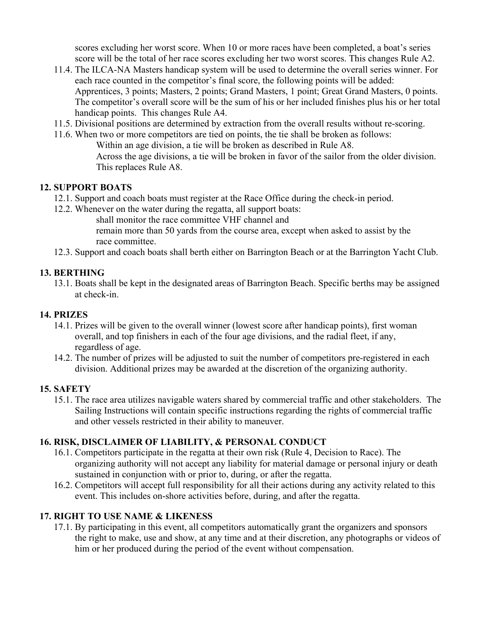scores excluding her worst score. When 10 or more races have been completed, a boat's series score will be the total of her race scores excluding her two worst scores. This changes Rule A2.

- 11.4. The ILCA-NA Masters handicap system will be used to determine the overall series winner. For each race counted in the competitor's final score, the following points will be added: Apprentices, 3 points; Masters, 2 points; Grand Masters, 1 point; Great Grand Masters, 0 points. The competitor's overall score will be the sum of his or her included finishes plus his or her total handicap points. This changes Rule A4.
- 11.5. Divisional positions are determined by extraction from the overall results without re-scoring.
- 11.6. When two or more competitors are tied on points, the tie shall be broken as follows:
	- Within an age division, a tie will be broken as described in Rule A8. Across the age divisions, a tie will be broken in favor of the sailor from the older division. This replaces Rule A8.

#### **12. SUPPORT BOATS**

- 12.1. Support and coach boats must register at the Race Office during the check-in period.
- 12.2. Whenever on the water during the regatta, all support boats:
	- shall monitor the race committee VHF channel and
	- remain more than 50 yards from the course area, except when asked to assist by the race committee.
- 12.3. Support and coach boats shall berth either on Barrington Beach or at the Barrington Yacht Club.

#### **13. BERTHING**

13.1. Boats shall be kept in the designated areas of Barrington Beach. Specific berths may be assigned at check-in.

#### **14. PRIZES**

- 14.1. Prizes will be given to the overall winner (lowest score after handicap points), first woman overall, and top finishers in each of the four age divisions, and the radial fleet, if any, regardless of age.
- 14.2. The number of prizes will be adjusted to suit the number of competitors pre-registered in each division. Additional prizes may be awarded at the discretion of the organizing authority.

#### **15. SAFETY**

15.1. The race area utilizes navigable waters shared by commercial traffic and other stakeholders. The Sailing Instructions will contain specific instructions regarding the rights of commercial traffic and other vessels restricted in their ability to maneuver.

#### **16. RISK, DISCLAIMER OF LIABILITY, & PERSONAL CONDUCT**

- 16.1. Competitors participate in the regatta at their own risk (Rule 4, Decision to Race). The organizing authority will not accept any liability for material damage or personal injury or death sustained in conjunction with or prior to, during, or after the regatta.
- 16.2. Competitors will accept full responsibility for all their actions during any activity related to this event. This includes on-shore activities before, during, and after the regatta.

#### **17. RIGHT TO USE NAME & LIKENESS**

17.1. By participating in this event, all competitors automatically grant the organizers and sponsors the right to make, use and show, at any time and at their discretion, any photographs or videos of him or her produced during the period of the event without compensation.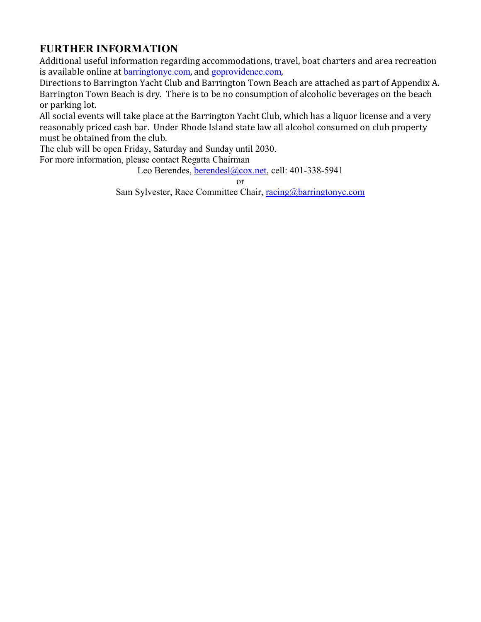## **FURTHER INFORMATION**

Additional useful information regarding accommodations, travel, boat charters and area recreation is available online at **barringtonyc.com**, and goprovidence.com,

Directions to Barrington Yacht Club and Barrington Town Beach are attached as part of Appendix A. Barrington Town Beach is dry. There is to be no consumption of alcoholic beverages on the beach or parking lot.

All social events will take place at the Barrington Yacht Club, which has a liquor license and a very reasonably priced cash bar. Under Rhode Island state law all alcohol consumed on club property must be obtained from the club.

The club will be open Friday, Saturday and Sunday until 2030.

For more information, please contact Regatta Chairman

Leo Berendes, berendesl@cox.net, cell: 401-338-5941

or

Sam Sylvester, Race Committee Chair, racing@barringtonyc.com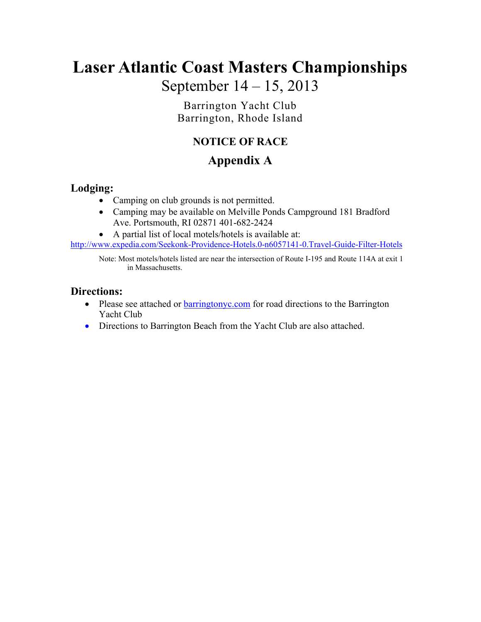# **Laser Atlantic Coast Masters Championships** September 14 – 15, 2013

Barrington Yacht Club Barrington, Rhode Island

## **NOTICE OF RACE**

# **Appendix A**

#### **Lodging:**

- Camping on club grounds is not permitted.
- Camping may be available on Melville Ponds Campground 181 Bradford Ave. Portsmouth, RI 02871 401-682-2424
- A partial list of local motels/hotels is available at:

http://www.expedia.com/Seekonk-Providence-Hotels.0-n6057141-0.Travel-Guide-Filter-Hotels

Note: Most motels/hotels listed are near the intersection of Route I-195 and Route 114A at exit 1 in Massachusetts.

#### **Directions:**

- Please see attached or **barringtonyc.com** for road directions to the Barrington Yacht Club
- Directions to Barrington Beach from the Yacht Club are also attached.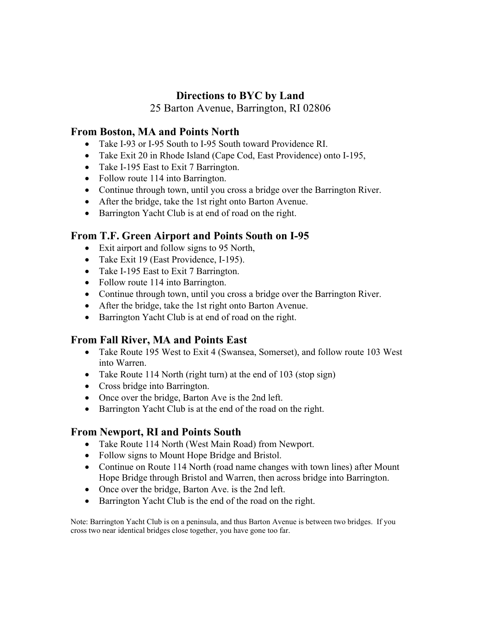#### **Directions to BYC by Land**

25 Barton Avenue, Barrington, RI 02806

#### **From Boston, MA and Points North**

- Take I-93 or I-95 South to I-95 South toward Providence RI.
- Take Exit 20 in Rhode Island (Cape Cod, East Providence) onto I-195,
- Take I-195 East to Exit 7 Barrington.
- Follow route 114 into Barrington.
- Continue through town, until you cross a bridge over the Barrington River.
- After the bridge, take the 1st right onto Barton Avenue.
- Barrington Yacht Club is at end of road on the right.

#### **From T.F. Green Airport and Points South on I-95**

- Exit airport and follow signs to 95 North,
- Take Exit 19 (East Providence, I-195).
- Take I-195 East to Exit 7 Barrington.
- Follow route 114 into Barrington.
- Continue through town, until you cross a bridge over the Barrington River.
- After the bridge, take the 1st right onto Barton Avenue.
- Barrington Yacht Club is at end of road on the right.

#### **From Fall River, MA and Points East**

- Take Route 195 West to Exit 4 (Swansea, Somerset), and follow route 103 West into Warren.
- Take Route 114 North (right turn) at the end of 103 (stop sign)
- Cross bridge into Barrington.
- Once over the bridge, Barton Ave is the 2nd left.
- Barrington Yacht Club is at the end of the road on the right.

#### **From Newport, RI and Points South**

- Take Route 114 North (West Main Road) from Newport.
- Follow signs to Mount Hope Bridge and Bristol.
- Continue on Route 114 North (road name changes with town lines) after Mount Hope Bridge through Bristol and Warren, then across bridge into Barrington.
- Once over the bridge, Barton Ave. is the 2nd left.
- Barrington Yacht Club is the end of the road on the right.

Note: Barrington Yacht Club is on a peninsula, and thus Barton Avenue is between two bridges. If you cross two near identical bridges close together, you have gone too far.